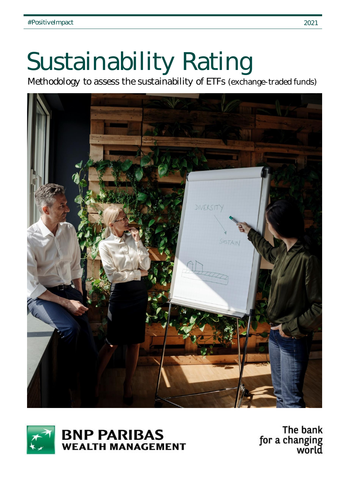# Sustainability Rating

Methodology to assess the sustainability of ETFs (exchange-traded funds)





**BNP PARIBAS WEALTH MANAGEMENT** 

The bank for a changing<br>world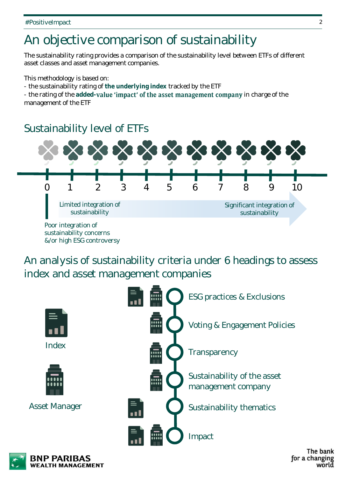## An objective comparison of sustainability

The sustainability rating provides a comparison of the sustainability level between ETFs of different asset classes and asset management companies.

This methodology is based on:

- the sustainability rating of **the underlying index** tracked by the ETF

- the rating of the added-value 'impact' of the asset management company in charge of the management of the ETF

## Sustainability level of ETFs



An analysis of sustainability criteria under 6 headings to assess index and asset management companies





The bank for a changing world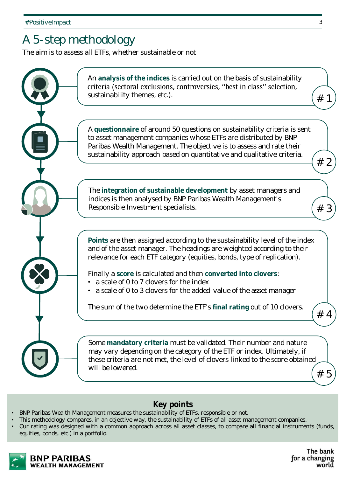## A 5-step methodology

The aim is to assess all ETFs, whether sustainable or not



- **Key points**
- BNP Paribas Wealth Management measures the sustainability of ETFs, responsible or not.
- This methodology compares, in an objective way, the sustainability of ETFs of all asset management companies.
- Our rating was designed with a common approach across all asset classes, to compare all financial instruments (funds, equities, bonds, etc.) in a portfolio.



The bank for a changing world